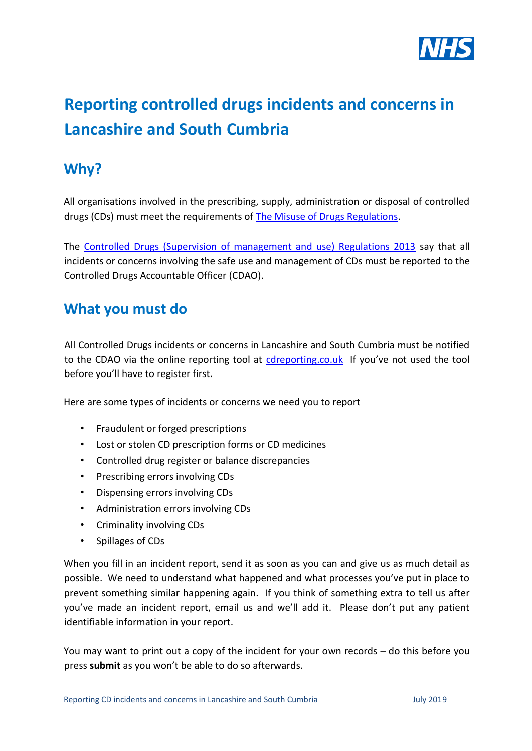

# **Reporting controlled drugs incidents and concerns in Lancashire and South Cumbria**

## **Why?**

All organisations involved in the prescribing, supply, administration or disposal of controlled drugs (CDs) must meet the requirements of **The Misuse of Drugs Regulations.** 

The [Controlled Drugs \(Supervision of management and use\) Regulations 2013](http://www.legislation.gov.uk/uksi/2013/373/part/2/made) [s](http://www.legislation.gov.uk/uksi/2013/373/part/2/made)ay that all incidents or concerns involving the safe use and management of CDs must be reported to the Controlled Drugs Accountable Officer (CDAO).

### **What you must do**

All Controlled Drugs incidents or concerns in Lancashire and South Cumbria must be notified to the CDAO via the online reporting tool at [cdreporting.co.uk](http://www.cdreporting.co.uk/) If you've not used the tool before you'll have to register first.

Here are some types of incidents or concerns we need you to report

- Fraudulent or forged prescriptions
- Lost or stolen CD prescription forms or CD medicines
- Controlled drug register or balance discrepancies
- Prescribing errors involving CDs
- Dispensing errors involving CDs
- Administration errors involving CDs
- Criminality involving CDs
- Spillages of CDs

When you fill in an incident report, send it as soon as you can and give us as much detail as possible. We need to understand what happened and what processes you've put in place to prevent something similar happening again. If you think of something extra to tell us after you've made an incident report, email us and we'll add it. Please don't put any patient identifiable information in your report.

You may want to print out a copy of the incident for your own records – do this before you press **submit** as you won't be able to do so afterwards.